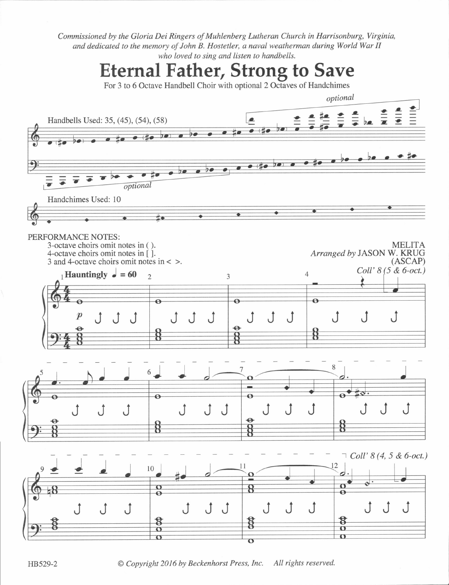Commissioned by the Gloria Dei Ringers of Muhlenberg Lutheran Church in Harrisonburg, Virginia, and dedicated to the memory of John B. Hostetler, a naval weatherman during World War II who loved to sing and listen to handbells.

Eternal Father, Strong to Save For 3 to 6 Octave Handbell Choir with optional 2 Octaves of Handchimes optional 三三  $\frac{2}{7}$  $\frac{2}{7}$  be  $\frac{2}{7}$ Handbells Used: 35, (45), (54), (58)  $\frac{2}{\pi}$   $\frac{2}{\pi}$   $\frac{4}{\pi}$   $\frac{3}{\pi}$  $\overline{\mathcal{P}}$  $\overline{20}$  $\overline{1}$  $\bullet$  $\Theta$  $\bullet$  (fo  $\bullet$  $700000$  $\bullet$ €₫ e  $2 - 1$  $\overline{\bullet}$  $\bar{\bullet}$ optional Handchimes Used: 10  $\bullet$  $\bullet$ ⋕◆ PERFORMANCE NOTES: 3-octave choirs omit notes in ( ). MELITA 4-octave choirs omit notes in  $\int$   $\int$ . Arranged by JASON W. KRUG 3 and 4-octave choirs omit notes in < >. (ASCAP) Coll'  $8(5 \& 6$ -oct.)  $\lambda_1$ Hauntingly  $\bullet = 60$   $\lambda_2$   $\beta_3$ 4  $\overline{\mathbf{e}}$  $\overline{\mathbf{e}}$  $\overline{\mathbf{o}}$  $\begin{array}{ccc} p & \uparrow & \uparrow \\ \Theta & \end{array}$ JJ <sup>J</sup> J JJ J J J  $\Theta$ Ř ጀ ਖ਼  $5 \rightarrow$ e 6  $\overline{\mathbf{e}}$ J JJ JJJ {} JJ <sup>J</sup> J J J €> ₿  $9 \pm \pm \sqrt{10}$   $10 \pm \sqrt{9}$  $\neg$  Coll' 8(4, 5 & 6-oct.) 12  $\Omega$  $\Omega$ Я <sup>J</sup> <sup>J</sup> <sup>J</sup> J JJ <sup>J</sup> <sup>J</sup> <sup>J</sup> JJ <sup>J</sup>  $\overline{O}$  $\Omega$  $\Omega$  $\Omega$  $\mathbf \Omega$ 

HB529-2 <sup>©</sup> Copyright 2016 by Beckenhorst Press, Inc. All rights reserved.